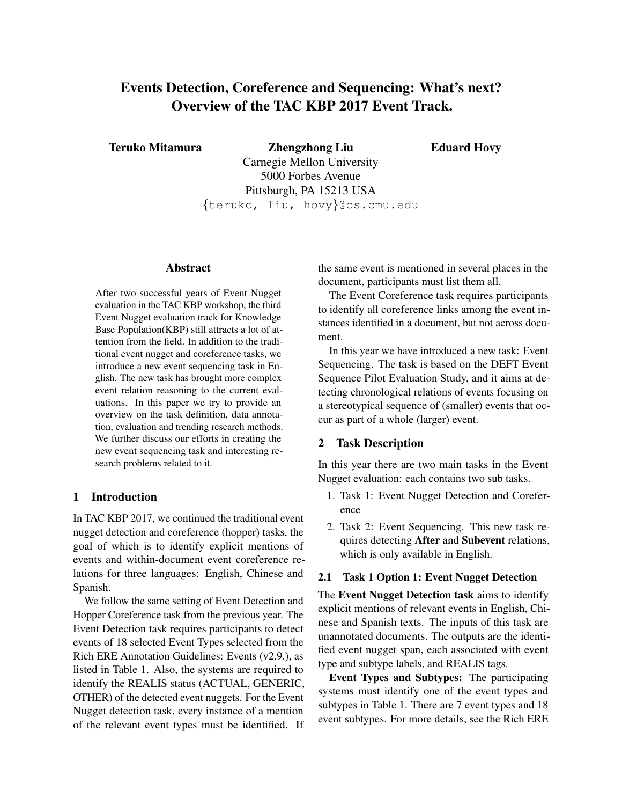# Events Detection, Coreference and Sequencing: What's next? Overview of the TAC KBP 2017 Event Track.

Teruko Mitamura Zhengzhong Liu

Eduard Hovy

Carnegie Mellon University 5000 Forbes Avenue Pittsburgh, PA 15213 USA {teruko, liu, hovy}@cs.cmu.edu

# Abstract

After two successful years of Event Nugget evaluation in the TAC KBP workshop, the third Event Nugget evaluation track for Knowledge Base Population(KBP) still attracts a lot of attention from the field. In addition to the traditional event nugget and coreference tasks, we introduce a new event sequencing task in English. The new task has brought more complex event relation reasoning to the current evaluations. In this paper we try to provide an overview on the task definition, data annotation, evaluation and trending research methods. We further discuss our efforts in creating the new event sequencing task and interesting research problems related to it.

# 1 Introduction

In TAC KBP 2017, we continued the traditional event nugget detection and coreference (hopper) tasks, the goal of which is to identify explicit mentions of events and within-document event coreference relations for three languages: English, Chinese and Spanish.

We follow the same setting of Event Detection and Hopper Coreference task from the previous year. The Event Detection task requires participants to detect events of 18 selected Event Types selected from the Rich ERE Annotation Guidelines: Events (v2.9.), as listed in Table 1. Also, the systems are required to identify the REALIS status (ACTUAL, GENERIC, OTHER) of the detected event nuggets. For the Event Nugget detection task, every instance of a mention of the relevant event types must be identified. If the same event is mentioned in several places in the document, participants must list them all.

The Event Coreference task requires participants to identify all coreference links among the event instances identified in a document, but not across document.

In this year we have introduced a new task: Event Sequencing. The task is based on the DEFT Event Sequence Pilot Evaluation Study, and it aims at detecting chronological relations of events focusing on a stereotypical sequence of (smaller) events that occur as part of a whole (larger) event.

# 2 Task Description

In this year there are two main tasks in the Event Nugget evaluation: each contains two sub tasks.

- 1. Task 1: Event Nugget Detection and Coreference
- 2. Task 2: Event Sequencing. This new task requires detecting After and Subevent relations, which is only available in English.

### 2.1 Task 1 Option 1: Event Nugget Detection

The Event Nugget Detection task aims to identify explicit mentions of relevant events in English, Chinese and Spanish texts. The inputs of this task are unannotated documents. The outputs are the identified event nugget span, each associated with event type and subtype labels, and REALIS tags.

Event Types and Subtypes: The participating systems must identify one of the event types and subtypes in Table 1. There are 7 event types and 18 event subtypes. For more details, see the Rich ERE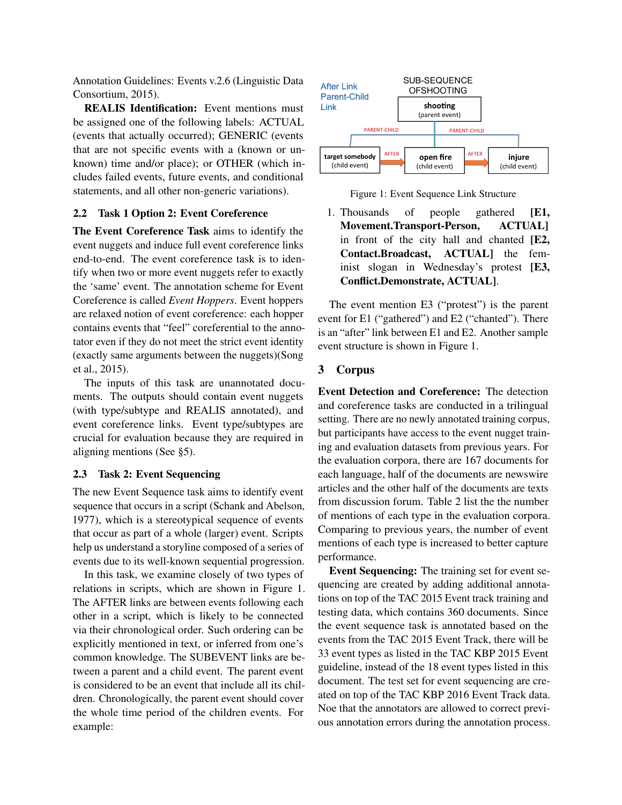Annotation Guidelines: Events v.2.6 (Linguistic Data Consortium, 2015).

REALIS Identification: Event mentions must be assigned one of the following labels: ACTUAL (events that actually occurred); GENERIC (events that are not specific events with a (known or unknown) time and/or place); or OTHER (which includes failed events, future events, and conditional statements, and all other non-generic variations).

#### 2.2 Task 1 Option 2: Event Coreference

The Event Coreference Task aims to identify the event nuggets and induce full event coreference links end-to-end. The event coreference task is to identify when two or more event nuggets refer to exactly the 'same' event. The annotation scheme for Event Coreference is called *Event Hoppers*. Event hoppers are relaxed notion of event coreference: each hopper contains events that "feel" coreferential to the annotator even if they do not meet the strict event identity (exactly same arguments between the nuggets)(Song et al., 2015).

The inputs of this task are unannotated documents. The outputs should contain event nuggets (with type/subtype and REALIS annotated), and event coreference links. Event type/subtypes are crucial for evaluation because they are required in aligning mentions (See §5).

# 2.3 Task 2: Event Sequencing

The new Event Sequence task aims to identify event sequence that occurs in a script (Schank and Abelson, 1977), which is a stereotypical sequence of events that occur as part of a whole (larger) event. Scripts help us understand a storyline composed of a series of events due to its well-known sequential progression.

In this task, we examine closely of two types of relations in scripts, which are shown in Figure 1. The AFTER links are between events following each other in a script, which is likely to be connected via their chronological order. Such ordering can be explicitly mentioned in text, or inferred from one's common knowledge. The SUBEVENT links are between a parent and a child event. The parent event is considered to be an event that include all its children. Chronologically, the parent event should cover the whole time period of the children events. For example:



Figure 1: Event Sequence Link Structure

1. Thousands of people gathered [E1, Movement.Transport-Person, ACTUAL] in front of the city hall and chanted [E2, Contact.Broadcast, ACTUAL] the feminist slogan in Wednesday's protest [E3, Conflict.Demonstrate, ACTUAL].

The event mention E3 ("protest") is the parent event for E1 ("gathered") and E2 ("chanted"). There is an "after" link between E1 and E2. Another sample event structure is shown in Figure 1.

# 3 Corpus

Event Detection and Coreference: The detection and coreference tasks are conducted in a trilingual setting. There are no newly annotated training corpus, but participants have access to the event nugget training and evaluation datasets from previous years. For the evaluation corpora, there are 167 documents for each language, half of the documents are newswire articles and the other half of the documents are texts from discussion forum. Table 2 list the the number of mentions of each type in the evaluation corpora. Comparing to previous years, the number of event mentions of each type is increased to better capture performance.

Event Sequencing: The training set for event sequencing are created by adding additional annotations on top of the TAC 2015 Event track training and testing data, which contains 360 documents. Since the event sequence task is annotated based on the events from the TAC 2015 Event Track, there will be 33 event types as listed in the TAC KBP 2015 Event guideline, instead of the 18 event types listed in this document. The test set for event sequencing are created on top of the TAC KBP 2016 Event Track data. Noe that the annotators are allowed to correct previous annotation errors during the annotation process.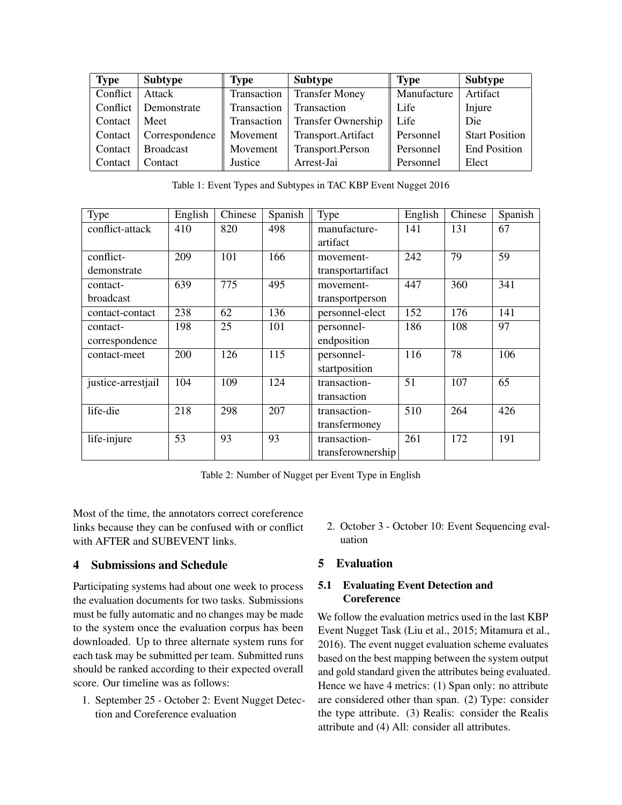| <b>Type</b> | <b>Subtype</b>   | <b>Type</b> | <b>Subtype</b>            | <b>Type</b>      | <b>Subtype</b>        |
|-------------|------------------|-------------|---------------------------|------------------|-----------------------|
| Conflict    | Attack           | Transaction | <b>Transfer Money</b>     | Manufacture      | Artifact              |
| Conflict    | Demonstrate      | Transaction | Transaction               | Life             | Injure                |
| Contact     | Meet             | Transaction | <b>Transfer Ownership</b> | $\parallel$ Life | <b>Die</b>            |
| Contact     | Correspondence   | Movement    | Transport.Artifact        | Personnel        | <b>Start Position</b> |
| Contact     | <b>Broadcast</b> | Movement    | Transport.Person          | Personnel        | <b>End Position</b>   |
| Contact     | Contact          | Justice     | Arrest-Jai                | Personnel        | Elect                 |

Table 1: Event Types and Subtypes in TAC KBP Event Nugget 2016

| Type               | English | Chinese | Spanish | Type              | English | Chinese | Spanish |
|--------------------|---------|---------|---------|-------------------|---------|---------|---------|
| conflict-attack    | 410     | 820     | 498     | manufacture-      | 141     | 131     | 67      |
|                    |         |         |         | artifact          |         |         |         |
| conflict-          | 209     | 101     | 166     | movement-         | 242     | 79      | 59      |
| demonstrate        |         |         |         | transportartifact |         |         |         |
| contact-           | 639     | 775     | 495     | movement-         | 447     | 360     | 341     |
| broadcast          |         |         |         | transportperson   |         |         |         |
| contact-contact    | 238     | 62      | 136     | personnel-elect   | 152     | 176     | 141     |
| contact-           | 198     | 25      | 101     | personnel-        | 186     | 108     | 97      |
| correspondence     |         |         |         | endposition       |         |         |         |
| contact-meet       | 200     | 126     | 115     | personnel-        | 116     | 78      | 106     |
|                    |         |         |         | startposition     |         |         |         |
| justice-arrestjail | 104     | 109     | 124     | transaction-      | 51      | 107     | 65      |
|                    |         |         |         | transaction       |         |         |         |
| life-die           | 218     | 298     | 207     | transaction-      | 510     | 264     | 426     |
|                    |         |         |         | transfermoney     |         |         |         |
| life-injure        | 53      | 93      | 93      | transaction-      | 261     | 172     | 191     |
|                    |         |         |         | transferownership |         |         |         |

Table 2: Number of Nugget per Event Type in English

Most of the time, the annotators correct coreference links because they can be confused with or conflict with AFTER and SUBEVENT links.

# 4 Submissions and Schedule

Participating systems had about one week to process the evaluation documents for two tasks. Submissions must be fully automatic and no changes may be made to the system once the evaluation corpus has been downloaded. Up to three alternate system runs for each task may be submitted per team. Submitted runs should be ranked according to their expected overall score. Our timeline was as follows:

1. September 25 - October 2: Event Nugget Detection and Coreference evaluation

2. October 3 - October 10: Event Sequencing evaluation

# 5 Evaluation

# 5.1 Evaluating Event Detection and **Coreference**

We follow the evaluation metrics used in the last KBP Event Nugget Task (Liu et al., 2015; Mitamura et al., 2016). The event nugget evaluation scheme evaluates based on the best mapping between the system output and gold standard given the attributes being evaluated. Hence we have 4 metrics: (1) Span only: no attribute are considered other than span. (2) Type: consider the type attribute. (3) Realis: consider the Realis attribute and (4) All: consider all attributes.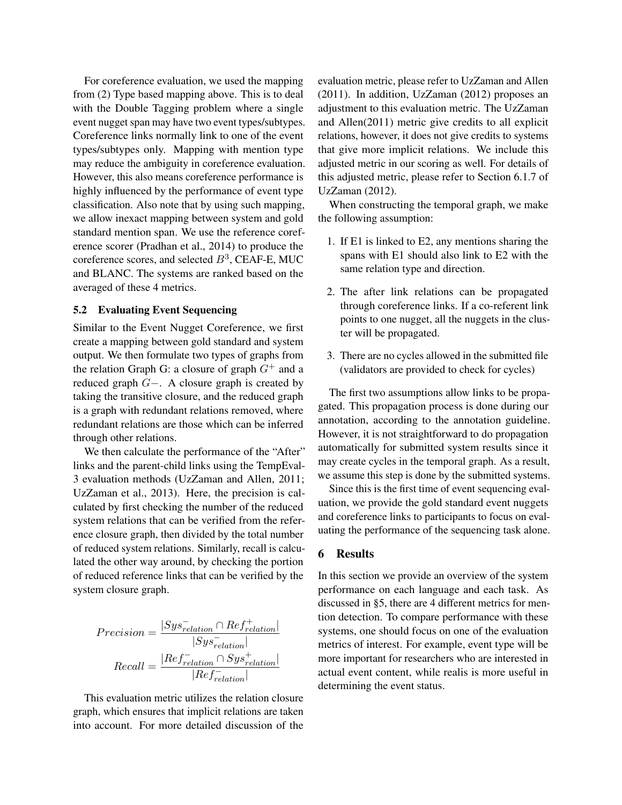For coreference evaluation, we used the mapping from (2) Type based mapping above. This is to deal with the Double Tagging problem where a single event nugget span may have two event types/subtypes. Coreference links normally link to one of the event types/subtypes only. Mapping with mention type may reduce the ambiguity in coreference evaluation. However, this also means coreference performance is highly influenced by the performance of event type classification. Also note that by using such mapping, we allow inexact mapping between system and gold standard mention span. We use the reference coreference scorer (Pradhan et al., 2014) to produce the coreference scores, and selected  $B^3$ , CEAF-E, MUC and BLANC. The systems are ranked based on the averaged of these 4 metrics.

### 5.2 Evaluating Event Sequencing

Similar to the Event Nugget Coreference, we first create a mapping between gold standard and system output. We then formulate two types of graphs from the relation Graph G: a closure of graph  $G^+$  and a reduced graph G−. A closure graph is created by taking the transitive closure, and the reduced graph is a graph with redundant relations removed, where redundant relations are those which can be inferred through other relations.

We then calculate the performance of the "After" links and the parent-child links using the TempEval-3 evaluation methods (UzZaman and Allen, 2011; UzZaman et al., 2013). Here, the precision is calculated by first checking the number of the reduced system relations that can be verified from the reference closure graph, then divided by the total number of reduced system relations. Similarly, recall is calculated the other way around, by checking the portion of reduced reference links that can be verified by the system closure graph.

$$
Precision = \frac{|Sys_{relation}^-\cap Ref_{relation}^+|}{| Sys_{relation}^-|}
$$

$$
Recall = \frac{|Ref_{relation}^-\cap Sys_{relation}^+|}{|Ref_{relation}^-|}
$$

This evaluation metric utilizes the relation closure graph, which ensures that implicit relations are taken into account. For more detailed discussion of the evaluation metric, please refer to UzZaman and Allen (2011). In addition, UzZaman (2012) proposes an adjustment to this evaluation metric. The UzZaman and Allen(2011) metric give credits to all explicit relations, however, it does not give credits to systems that give more implicit relations. We include this adjusted metric in our scoring as well. For details of this adjusted metric, please refer to Section 6.1.7 of UzZaman (2012).

When constructing the temporal graph, we make the following assumption:

- 1. If E1 is linked to E2, any mentions sharing the spans with E1 should also link to E2 with the same relation type and direction.
- 2. The after link relations can be propagated through coreference links. If a co-referent link points to one nugget, all the nuggets in the cluster will be propagated.
- 3. There are no cycles allowed in the submitted file (validators are provided to check for cycles)

The first two assumptions allow links to be propagated. This propagation process is done during our annotation, according to the annotation guideline. However, it is not straightforward to do propagation automatically for submitted system results since it may create cycles in the temporal graph. As a result, we assume this step is done by the submitted systems.

Since this is the first time of event sequencing evaluation, we provide the gold standard event nuggets and coreference links to participants to focus on evaluating the performance of the sequencing task alone.

# 6 Results

In this section we provide an overview of the system performance on each language and each task. As discussed in §5, there are 4 different metrics for mention detection. To compare performance with these systems, one should focus on one of the evaluation metrics of interest. For example, event type will be more important for researchers who are interested in actual event content, while realis is more useful in determining the event status.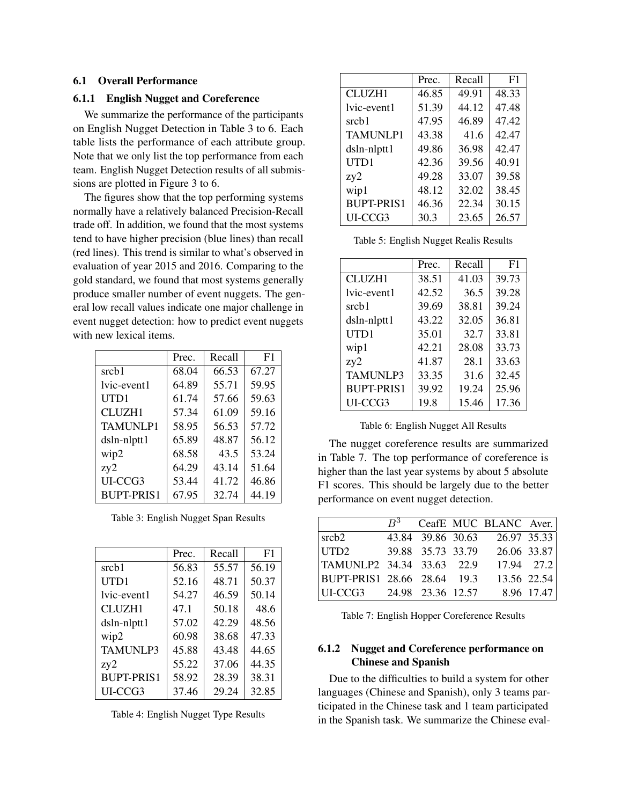## 6.1 Overall Performance

#### 6.1.1 English Nugget and Coreference

We summarize the performance of the participants on English Nugget Detection in Table 3 to 6. Each table lists the performance of each attribute group. Note that we only list the top performance from each team. English Nugget Detection results of all submissions are plotted in Figure 3 to 6.

The figures show that the top performing systems normally have a relatively balanced Precision-Recall trade off. In addition, we found that the most systems tend to have higher precision (blue lines) than recall (red lines). This trend is similar to what's observed in evaluation of year 2015 and 2016. Comparing to the gold standard, we found that most systems generally produce smaller number of event nuggets. The general low recall values indicate one major challenge in event nugget detection: how to predict event nuggets with new lexical items.

|                   | Prec. | Recall | F <sub>1</sub> |
|-------------------|-------|--------|----------------|
| srcb1             | 68.04 | 66.53  | 67.27          |
| lvic-event1       | 64.89 | 55.71  | 59.95          |
| UTD1              | 61.74 | 57.66  | 59.63          |
| CLUZH1            | 57.34 | 61.09  | 59.16          |
| <b>TAMUNLP1</b>   | 58.95 | 56.53  | 57.72          |
| dsln-nlptt1       | 65.89 | 48.87  | 56.12          |
| wip2              | 68.58 | 43.5   | 53.24          |
| zy2               | 64.29 | 43.14  | 51.64          |
| UI-CCG3           | 53.44 | 41.72  | 46.86          |
| <b>BUPT-PRIS1</b> | 67.95 | 32.74  | 44.19          |

Table 3: English Nugget Span Results

|                   | Prec. | Recall | F <sub>1</sub> |
|-------------------|-------|--------|----------------|
| srcb1             | 56.83 | 55.57  | 56.19          |
| UTD1              | 52.16 | 48.71  | 50.37          |
| lvic-event1       | 54.27 | 46.59  | 50.14          |
| <b>CLUZH1</b>     | 47.1  | 50.18  | 48.6           |
| dsln-nlptt1       | 57.02 | 42.29  | 48.56          |
| wip2              | 60.98 | 38.68  | 47.33          |
| <b>TAMUNLP3</b>   | 45.88 | 43.48  | 44.65          |
| zy2               | 55.22 | 37.06  | 44.35          |
| <b>BUPT-PRIS1</b> | 58.92 | 28.39  | 38.31          |
| UI-CCG3           | 37.46 | 29.24  | 32.85          |

Table 4: English Nugget Type Results

|                   | Prec. | Recall | F <sub>1</sub> |
|-------------------|-------|--------|----------------|
| <b>CLUZH1</b>     | 46.85 | 49.91  | 48.33          |
| lvic-event1       | 51.39 | 44.12  | 47.48          |
| srcb1             | 47.95 | 46.89  | 47.42          |
| <b>TAMUNLP1</b>   | 43.38 | 41.6   | 42.47          |
| dsln-nlptt1       | 49.86 | 36.98  | 42.47          |
| UTD1              | 42.36 | 39.56  | 40.91          |
| zy2               | 49.28 | 33.07  | 39.58          |
| wip1              | 48.12 | 32.02  | 38.45          |
| <b>BUPT-PRIS1</b> | 46.36 | 22.34  | 30.15          |
| UI-CCG3           | 30.3  | 23.65  | 26.57          |

Table 5: English Nugget Realis Results

|                   | Prec. | Recall | F1    |
|-------------------|-------|--------|-------|
| <b>CLUZH1</b>     | 38.51 | 41.03  | 39.73 |
| lvic-event1       | 42.52 | 36.5   | 39.28 |
| srcb1             | 39.69 | 38.81  | 39.24 |
| dsln-nlptt1       | 43.22 | 32.05  | 36.81 |
| UTD1              | 35.01 | 32.7   | 33.81 |
| wip1              | 42.21 | 28.08  | 33.73 |
| zy2               | 41.87 | 28.1   | 33.63 |
| TAMUNLP3          | 33.35 | 31.6   | 32.45 |
| <b>BUPT-PRIS1</b> | 39.92 | 19.24  | 25.96 |
| UI-CCG3           | 19.8  | 15.46  | 17.36 |

Table 6: English Nugget All Results

The nugget coreference results are summarized in Table 7. The top performance of coreference is higher than the last year systems by about 5 absolute F1 scores. This should be largely due to the better performance on event nugget detection.

|                             | $B^3$ |                   | CeafE MUC BLANC Aver. |            |
|-----------------------------|-------|-------------------|-----------------------|------------|
|                             |       |                   |                       |            |
| srcb <sub>2</sub>           |       | 43.84 39.86 30.63 | 26.97 35.33           |            |
| UTD <sub>2</sub>            |       | 39.88 35.73 33.79 | 26.06 33.87           |            |
| TAMUNLP2 34.34 33.63 22.9   |       |                   |                       | 17.94 27.2 |
| BUPT-PRIS1 28.66 28.64 19.3 |       |                   | 13.56 22.54           |            |
| UI-CCG3 24.98 23.36 12.57   |       |                   |                       | 8.96 17.47 |

Table 7: English Hopper Coreference Results

# 6.1.2 Nugget and Coreference performance on Chinese and Spanish

Due to the difficulties to build a system for other languages (Chinese and Spanish), only 3 teams participated in the Chinese task and 1 team participated in the Spanish task. We summarize the Chinese eval-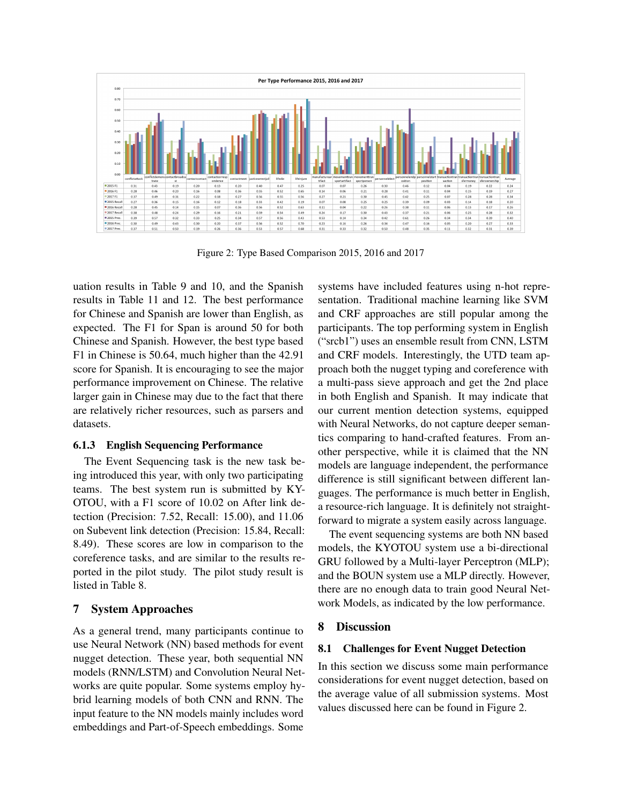

Figure 2: Type Based Comparison 2015, 2016 and 2017

uation results in Table 9 and 10, and the Spanish results in Table 11 and 12. The best performance for Chinese and Spanish are lower than English, as expected. The F1 for Span is around 50 for both Chinese and Spanish. However, the best type based F1 in Chinese is 50.64, much higher than the 42.91 score for Spanish. It is encouraging to see the major performance improvement on Chinese. The relative larger gain in Chinese may due to the fact that there are relatively richer resources, such as parsers and datasets.

#### 6.1.3 English Sequencing Performance

The Event Sequencing task is the new task being introduced this year, with only two participating teams. The best system run is submitted by KY-OTOU, with a F1 score of 10.02 on After link detection (Precision: 7.52, Recall: 15.00), and 11.06 on Subevent link detection (Precision: 15.84, Recall: 8.49). These scores are low in comparison to the coreference tasks, and are similar to the results reported in the pilot study. The pilot study result is listed in Table 8.

# 7 System Approaches

As a general trend, many participants continue to use Neural Network (NN) based methods for event nugget detection. These year, both sequential NN models (RNN/LSTM) and Convolution Neural Networks are quite popular. Some systems employ hybrid learning models of both CNN and RNN. The input feature to the NN models mainly includes word embeddings and Part-of-Speech embeddings. Some

systems have included features using n-hot representation. Traditional machine learning like SVM and CRF approaches are still popular among the participants. The top performing system in English ("srcb1") uses an ensemble result from CNN, LSTM and CRF models. Interestingly, the UTD team approach both the nugget typing and coreference with a multi-pass sieve approach and get the 2nd place in both English and Spanish. It may indicate that our current mention detection systems, equipped with Neural Networks, do not capture deeper semantics comparing to hand-crafted features. From another perspective, while it is claimed that the NN models are language independent, the performance difference is still significant between different languages. The performance is much better in English, a resource-rich language. It is definitely not straightforward to migrate a system easily across language.

The event sequencing systems are both NN based models, the KYOTOU system use a bi-directional GRU followed by a Multi-layer Perceptron (MLP); and the BOUN system use a MLP directly. However, there are no enough data to train good Neural Network Models, as indicated by the low performance.

# 8 Discussion

## 8.1 Challenges for Event Nugget Detection

In this section we discuss some main performance considerations for event nugget detection, based on the average value of all submission systems. Most values discussed here can be found in Figure 2.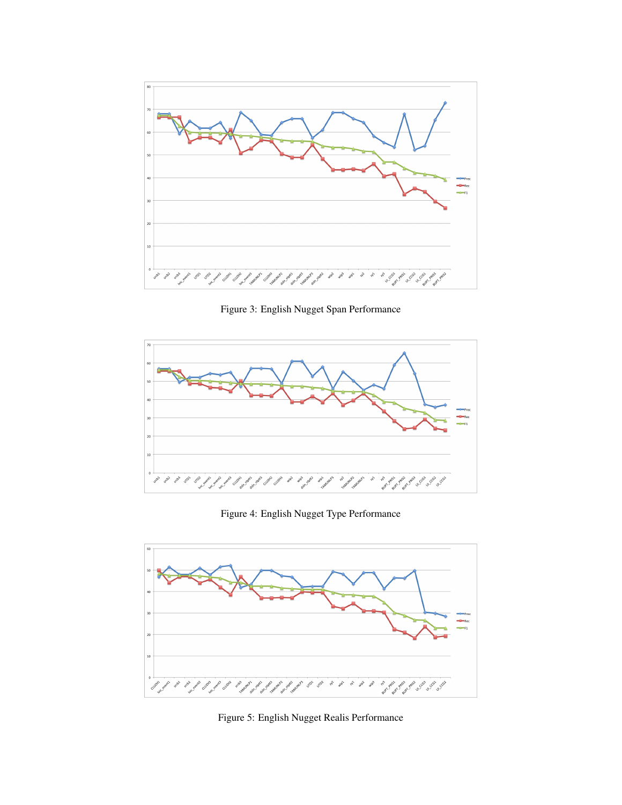

Figure 3: English Nugget Span Performance



Figure 4: English Nugget Type Performance



Figure 5: English Nugget Realis Performance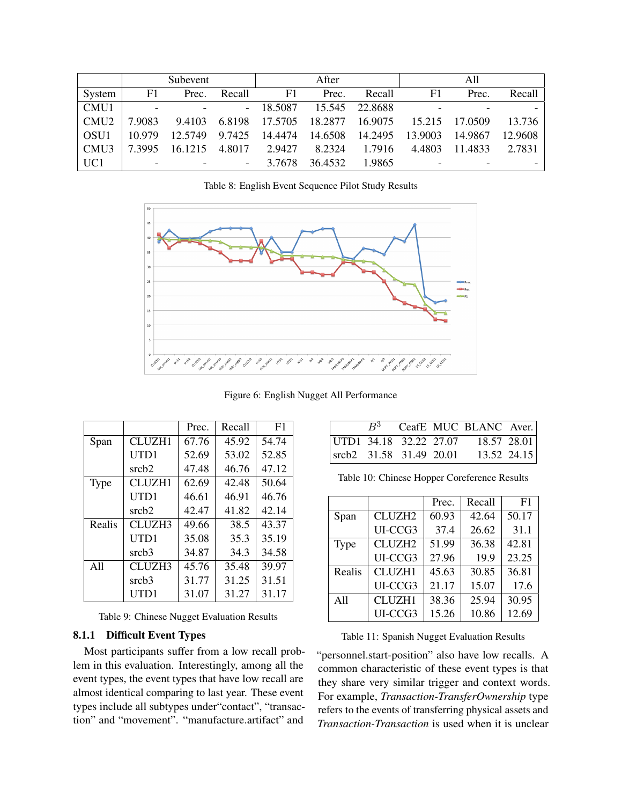|                  | Subevent                 |                          | After  |         | All     |         |         |         |         |
|------------------|--------------------------|--------------------------|--------|---------|---------|---------|---------|---------|---------|
| System           | F1                       | Prec.                    | Recall | F1      | Prec.   | Recall  | F1      | Prec.   | Recall  |
| CMU1             | $\overline{\phantom{0}}$ | $\blacksquare$           | $\sim$ | 18.5087 | 15.545  | 22.8688 |         |         |         |
| CMU <sub>2</sub> | 7.9083                   | 9.4103                   | 6.8198 | 17.5705 | 18.2877 | 16.9075 | 15.215  | 17.0509 | 13.736  |
| <b>OSU1</b>      | 10.979                   | 12.5749                  | 9.7425 | 14.4474 | 14.6508 | 14.2495 | 13.9003 | 14.9867 | 12.9608 |
| CMU3             | 7.3995                   | 16 12 15                 | 4.8017 | 2.9427  | 8.2324  | 1.7916  | 4.4803  | 11 4833 | 2.7831  |
| UC1              | $\overline{\phantom{0}}$ | $\overline{\phantom{a}}$ | ۰      | 3.7678  | 36.4532 | 1.9865  |         |         |         |

Table 8: English Event Sequence Pilot Study Results



Figure 6: English Nugget All Performance

|             |                   | Prec. | Recall | F <sub>1</sub> |
|-------------|-------------------|-------|--------|----------------|
| Span        | CLUZH1            | 67.76 | 45.92  | 54.74          |
|             | UTD1              | 52.69 | 53.02  | 52.85          |
|             | srch2             | 47.48 | 46.76  | 47.12          |
| <b>Type</b> | <b>CLUZH1</b>     | 62.69 | 42.48  | 50.64          |
|             | UTD1              | 46.61 | 46.91  | 46.76          |
|             | srcb2             | 42.47 | 41.82  | 42.14          |
| Realis      | CLUZH3            | 49.66 | 38.5   | 43.37          |
|             | UTD1              | 35.08 | 35.3   | 35.19          |
|             | srcb <sub>3</sub> | 34.87 | 34.3   | 34.58          |
| A11         | CLUZH3            | 45.76 | 35.48  | 39.97          |
|             | srcb3             | 31.77 | 31.25  | 31.51          |
|             | UTD1              | 31.07 | 31.27  | 31.17          |

Table 9: Chinese Nugget Evaluation Results

## 8.1.1 Difficult Event Types

Most participants suffer from a low recall problem in this evaluation. Interestingly, among all the event types, the event types that have low recall are almost identical comparing to last year. These event types include all subtypes under"contact", "transaction" and "movement". "manufacture.artifact" and

|                                 |  | $B^3$ CeafE MUC BLANC Aver. |             |
|---------------------------------|--|-----------------------------|-------------|
| UTD1 $34.18$ $32.22$ 27.07      |  | 18.57 28.01                 |             |
| $\vert$ srcb2 31.58 31.49 20.01 |  |                             | 13.52 24.15 |

Table 10: Chinese Hopper Coreference Results

|        |                    | Prec. | Recall | F1    |
|--------|--------------------|-------|--------|-------|
| Span   | CLUZH <sub>2</sub> | 60.93 | 42.64  | 50.17 |
|        | UI-CCG3            | 37.4  | 26.62  | 31.1  |
| Type   | CLUZH <sub>2</sub> | 51.99 | 36.38  | 42.81 |
|        | UI-CCG3            | 27.96 | 19.9   | 23.25 |
| Realis | CLUZH1             | 45.63 | 30.85  | 36.81 |
|        | UI-CCG3            | 21.17 | 15.07  | 17.6  |
| A11    | <b>CLUZH1</b>      | 38.36 | 25.94  | 30.95 |
|        | UI-CCG3            | 15.26 | 10.86  | 12.69 |
|        |                    |       |        |       |

Table 11: Spanish Nugget Evaluation Results

"personnel.start-position" also have low recalls. A common characteristic of these event types is that they share very similar trigger and context words. For example, *Transaction-TransferOwnership* type refers to the events of transferring physical assets and *Transaction-Transaction* is used when it is unclear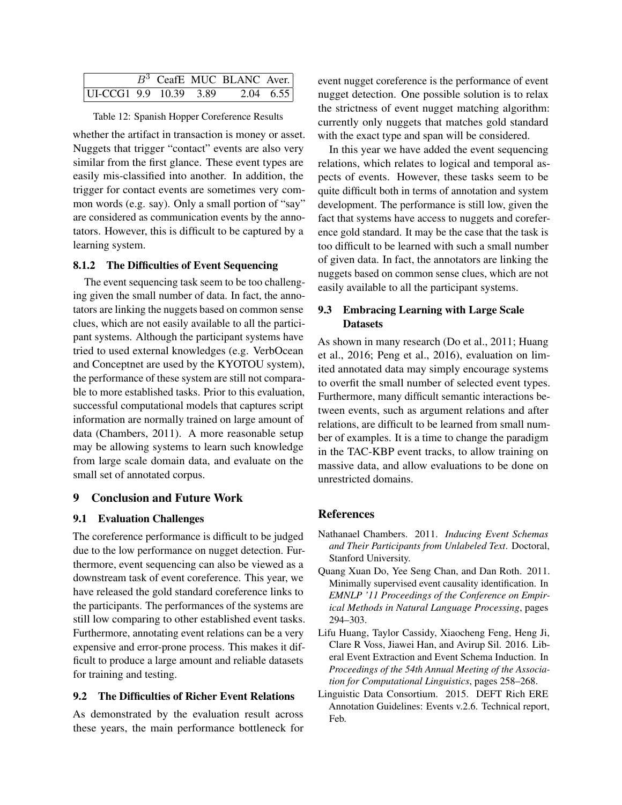|                        |  | $\overline{B^3}$ CeafE MUC BLANC Aver. |  |
|------------------------|--|----------------------------------------|--|
| UI-CCG1 9.9 10.39 3.89 |  | $2.04 \quad 6.55$                      |  |

Table 12: Spanish Hopper Coreference Results

whether the artifact in transaction is money or asset. Nuggets that trigger "contact" events are also very similar from the first glance. These event types are easily mis-classified into another. In addition, the trigger for contact events are sometimes very common words (e.g. say). Only a small portion of "say" are considered as communication events by the annotators. However, this is difficult to be captured by a learning system.

#### 8.1.2 The Difficulties of Event Sequencing

The event sequencing task seem to be too challenging given the small number of data. In fact, the annotators are linking the nuggets based on common sense clues, which are not easily available to all the participant systems. Although the participant systems have tried to used external knowledges (e.g. VerbOcean and Conceptnet are used by the KYOTOU system), the performance of these system are still not comparable to more established tasks. Prior to this evaluation, successful computational models that captures script information are normally trained on large amount of data (Chambers, 2011). A more reasonable setup may be allowing systems to learn such knowledge from large scale domain data, and evaluate on the small set of annotated corpus.

# 9 Conclusion and Future Work

#### 9.1 Evaluation Challenges

The coreference performance is difficult to be judged due to the low performance on nugget detection. Furthermore, event sequencing can also be viewed as a downstream task of event coreference. This year, we have released the gold standard coreference links to the participants. The performances of the systems are still low comparing to other established event tasks. Furthermore, annotating event relations can be a very expensive and error-prone process. This makes it difficult to produce a large amount and reliable datasets for training and testing.

#### 9.2 The Difficulties of Richer Event Relations

As demonstrated by the evaluation result across these years, the main performance bottleneck for event nugget coreference is the performance of event nugget detection. One possible solution is to relax the strictness of event nugget matching algorithm: currently only nuggets that matches gold standard with the exact type and span will be considered.

In this year we have added the event sequencing relations, which relates to logical and temporal aspects of events. However, these tasks seem to be quite difficult both in terms of annotation and system development. The performance is still low, given the fact that systems have access to nuggets and coreference gold standard. It may be the case that the task is too difficult to be learned with such a small number of given data. In fact, the annotators are linking the nuggets based on common sense clues, which are not easily available to all the participant systems.

# 9.3 Embracing Learning with Large Scale Datasets

As shown in many research (Do et al., 2011; Huang et al., 2016; Peng et al., 2016), evaluation on limited annotated data may simply encourage systems to overfit the small number of selected event types. Furthermore, many difficult semantic interactions between events, such as argument relations and after relations, are difficult to be learned from small number of examples. It is a time to change the paradigm in the TAC-KBP event tracks, to allow training on massive data, and allow evaluations to be done on unrestricted domains.

## References

- Nathanael Chambers. 2011. *Inducing Event Schemas and Their Participants from Unlabeled Text*. Doctoral, Stanford University.
- Quang Xuan Do, Yee Seng Chan, and Dan Roth. 2011. Minimally supervised event causality identification. In *EMNLP '11 Proceedings of the Conference on Empirical Methods in Natural Language Processing*, pages 294–303.
- Lifu Huang, Taylor Cassidy, Xiaocheng Feng, Heng Ji, Clare R Voss, Jiawei Han, and Avirup Sil. 2016. Liberal Event Extraction and Event Schema Induction. In *Proceedings of the 54th Annual Meeting of the Association for Computational Linguistics*, pages 258–268.
- Linguistic Data Consortium. 2015. DEFT Rich ERE Annotation Guidelines: Events v.2.6. Technical report, Feb.